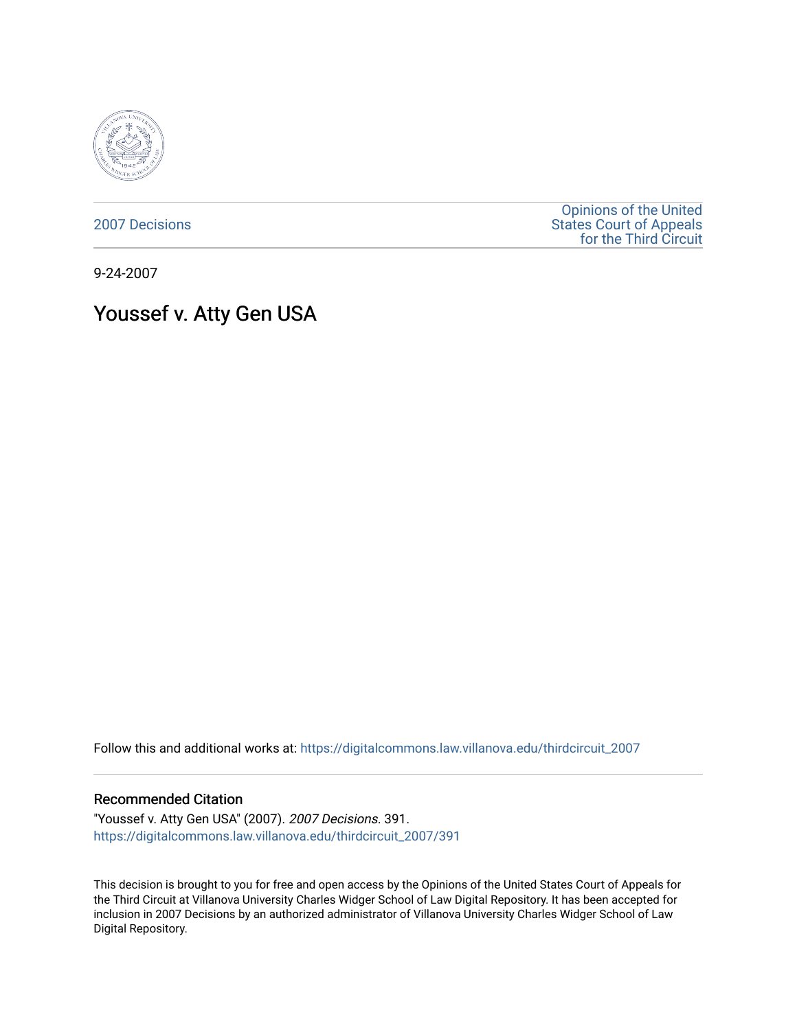

[2007 Decisions](https://digitalcommons.law.villanova.edu/thirdcircuit_2007)

[Opinions of the United](https://digitalcommons.law.villanova.edu/thirdcircuit)  [States Court of Appeals](https://digitalcommons.law.villanova.edu/thirdcircuit)  [for the Third Circuit](https://digitalcommons.law.villanova.edu/thirdcircuit) 

9-24-2007

# Youssef v. Atty Gen USA

Follow this and additional works at: [https://digitalcommons.law.villanova.edu/thirdcircuit\\_2007](https://digitalcommons.law.villanova.edu/thirdcircuit_2007?utm_source=digitalcommons.law.villanova.edu%2Fthirdcircuit_2007%2F391&utm_medium=PDF&utm_campaign=PDFCoverPages) 

### Recommended Citation

"Youssef v. Atty Gen USA" (2007). 2007 Decisions. 391. [https://digitalcommons.law.villanova.edu/thirdcircuit\\_2007/391](https://digitalcommons.law.villanova.edu/thirdcircuit_2007/391?utm_source=digitalcommons.law.villanova.edu%2Fthirdcircuit_2007%2F391&utm_medium=PDF&utm_campaign=PDFCoverPages)

This decision is brought to you for free and open access by the Opinions of the United States Court of Appeals for the Third Circuit at Villanova University Charles Widger School of Law Digital Repository. It has been accepted for inclusion in 2007 Decisions by an authorized administrator of Villanova University Charles Widger School of Law Digital Repository.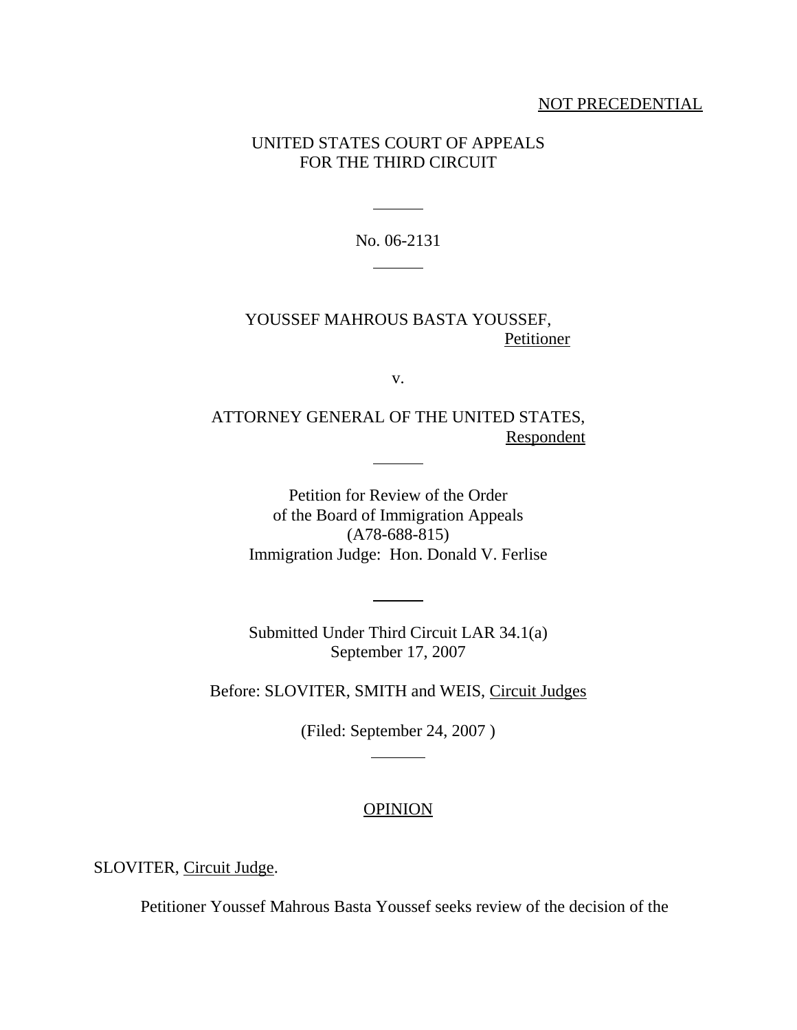## NOT PRECEDENTIAL

## UNITED STATES COURT OF APPEALS FOR THE THIRD CIRCUIT

No. 06-2131 

l

## YOUSSEF MAHROUS BASTA YOUSSEF, **Petitioner**

v.

ATTORNEY GENERAL OF THE UNITED STATES, **Respondent** 

 $\overline{\phantom{a}}$ 

Petition for Review of the Order of the Board of Immigration Appeals (A78-688-815) Immigration Judge: Hon. Donald V. Ferlise

Submitted Under Third Circuit LAR 34.1(a) September 17, 2007

 $\overline{a}$ 

Before: SLOVITER, SMITH and WEIS, Circuit Judges

(Filed: September 24, 2007 )

 $\overline{\phantom{a}}$ 

## **OPINION**

SLOVITER, Circuit Judge.

Petitioner Youssef Mahrous Basta Youssef seeks review of the decision of the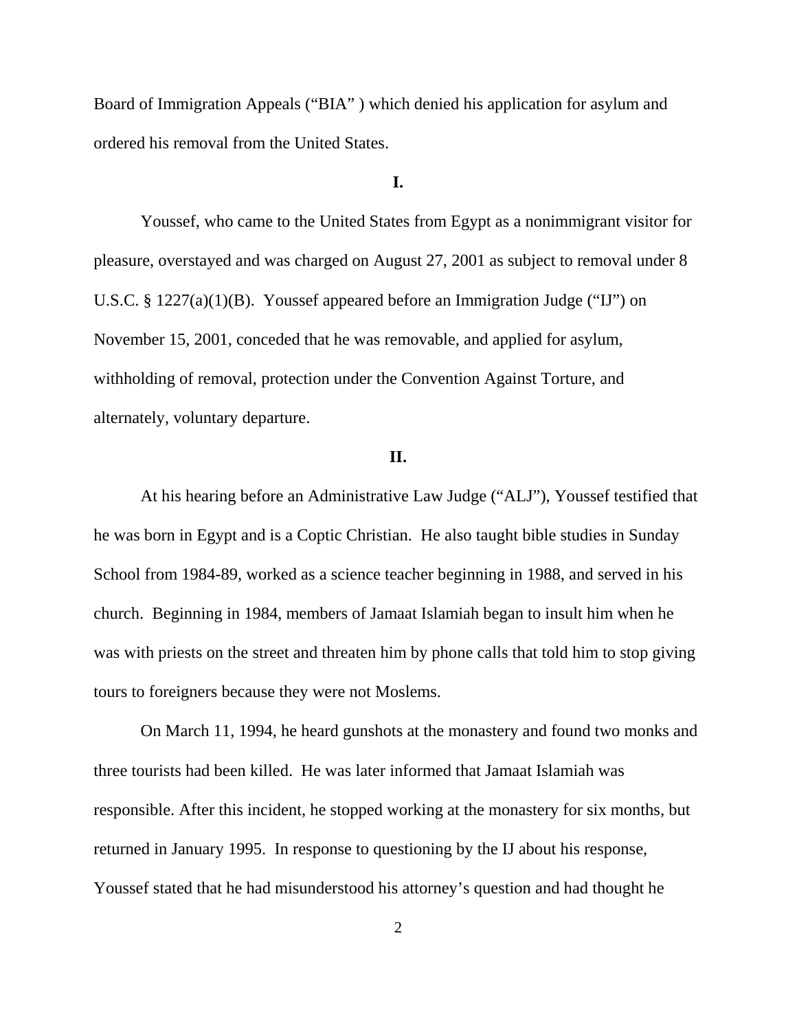Board of Immigration Appeals ("BIA" ) which denied his application for asylum and ordered his removal from the United States.

## **I.**

Youssef, who came to the United States from Egypt as a nonimmigrant visitor for pleasure, overstayed and was charged on August 27, 2001 as subject to removal under 8 U.S.C. § 1227(a)(1)(B). Youssef appeared before an Immigration Judge ("IJ") on November 15, 2001, conceded that he was removable, and applied for asylum, withholding of removal, protection under the Convention Against Torture, and alternately, voluntary departure.

### **II.**

At his hearing before an Administrative Law Judge ("ALJ"), Youssef testified that he was born in Egypt and is a Coptic Christian. He also taught bible studies in Sunday School from 1984-89, worked as a science teacher beginning in 1988, and served in his church. Beginning in 1984, members of Jamaat Islamiah began to insult him when he was with priests on the street and threaten him by phone calls that told him to stop giving tours to foreigners because they were not Moslems.

On March 11, 1994, he heard gunshots at the monastery and found two monks and three tourists had been killed. He was later informed that Jamaat Islamiah was responsible. After this incident, he stopped working at the monastery for six months, but returned in January 1995. In response to questioning by the IJ about his response, Youssef stated that he had misunderstood his attorney's question and had thought he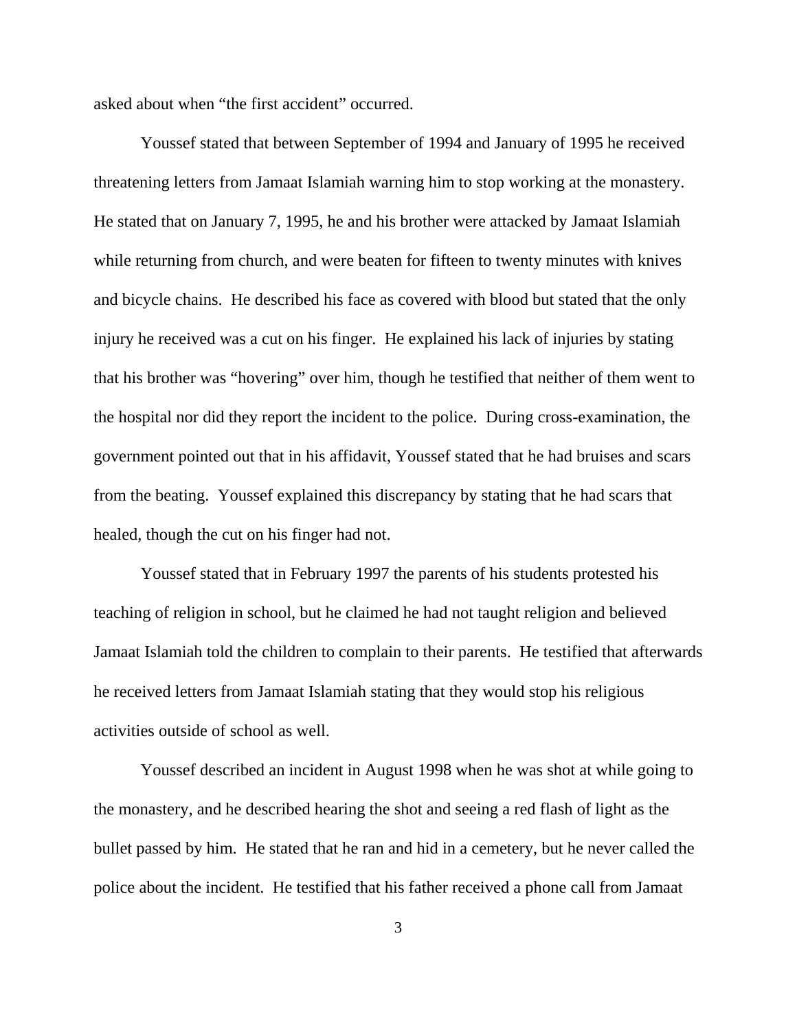asked about when "the first accident" occurred.

Youssef stated that between September of 1994 and January of 1995 he received threatening letters from Jamaat Islamiah warning him to stop working at the monastery. He stated that on January 7, 1995, he and his brother were attacked by Jamaat Islamiah while returning from church, and were beaten for fifteen to twenty minutes with knives and bicycle chains. He described his face as covered with blood but stated that the only injury he received was a cut on his finger. He explained his lack of injuries by stating that his brother was "hovering" over him, though he testified that neither of them went to the hospital nor did they report the incident to the police. During cross-examination, the government pointed out that in his affidavit, Youssef stated that he had bruises and scars from the beating. Youssef explained this discrepancy by stating that he had scars that healed, though the cut on his finger had not.

Youssef stated that in February 1997 the parents of his students protested his teaching of religion in school, but he claimed he had not taught religion and believed Jamaat Islamiah told the children to complain to their parents. He testified that afterwards he received letters from Jamaat Islamiah stating that they would stop his religious activities outside of school as well.

Youssef described an incident in August 1998 when he was shot at while going to the monastery, and he described hearing the shot and seeing a red flash of light as the bullet passed by him. He stated that he ran and hid in a cemetery, but he never called the police about the incident. He testified that his father received a phone call from Jamaat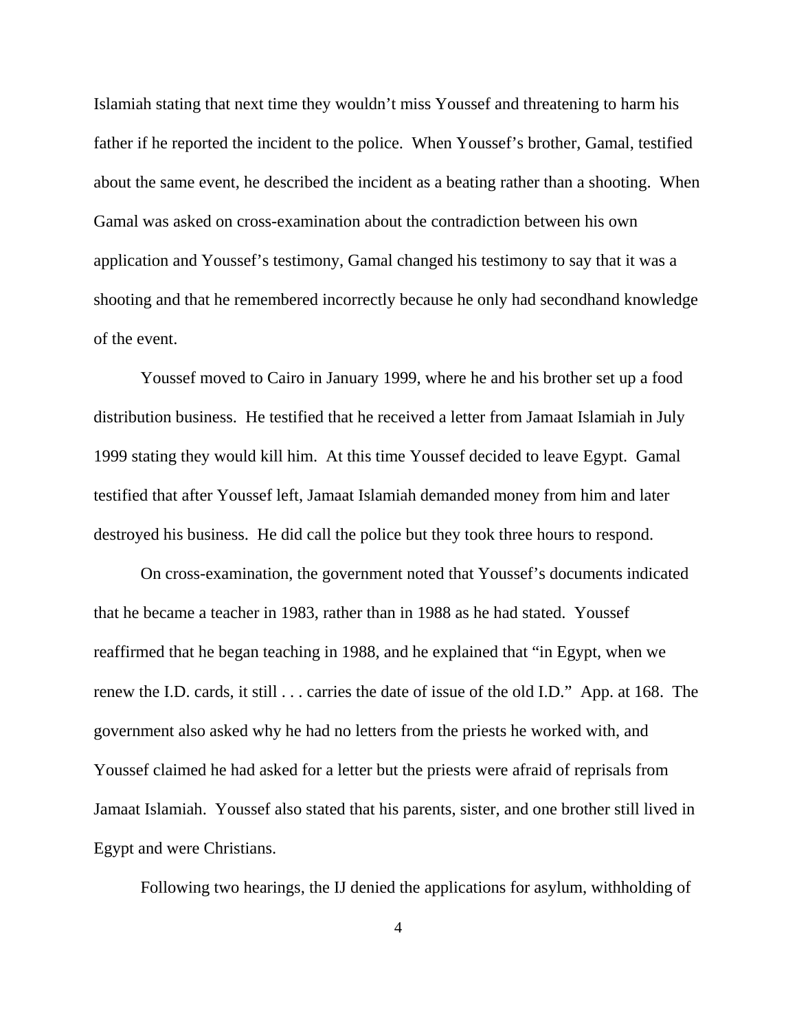Islamiah stating that next time they wouldn't miss Youssef and threatening to harm his father if he reported the incident to the police. When Youssef's brother, Gamal, testified about the same event, he described the incident as a beating rather than a shooting. When Gamal was asked on cross-examination about the contradiction between his own application and Youssef's testimony, Gamal changed his testimony to say that it was a shooting and that he remembered incorrectly because he only had secondhand knowledge of the event.

Youssef moved to Cairo in January 1999, where he and his brother set up a food distribution business. He testified that he received a letter from Jamaat Islamiah in July 1999 stating they would kill him. At this time Youssef decided to leave Egypt. Gamal testified that after Youssef left, Jamaat Islamiah demanded money from him and later destroyed his business. He did call the police but they took three hours to respond.

On cross-examination, the government noted that Youssef's documents indicated that he became a teacher in 1983, rather than in 1988 as he had stated. Youssef reaffirmed that he began teaching in 1988, and he explained that "in Egypt, when we renew the I.D. cards, it still . . . carries the date of issue of the old I.D." App. at 168. The government also asked why he had no letters from the priests he worked with, and Youssef claimed he had asked for a letter but the priests were afraid of reprisals from Jamaat Islamiah. Youssef also stated that his parents, sister, and one brother still lived in Egypt and were Christians.

Following two hearings, the IJ denied the applications for asylum, withholding of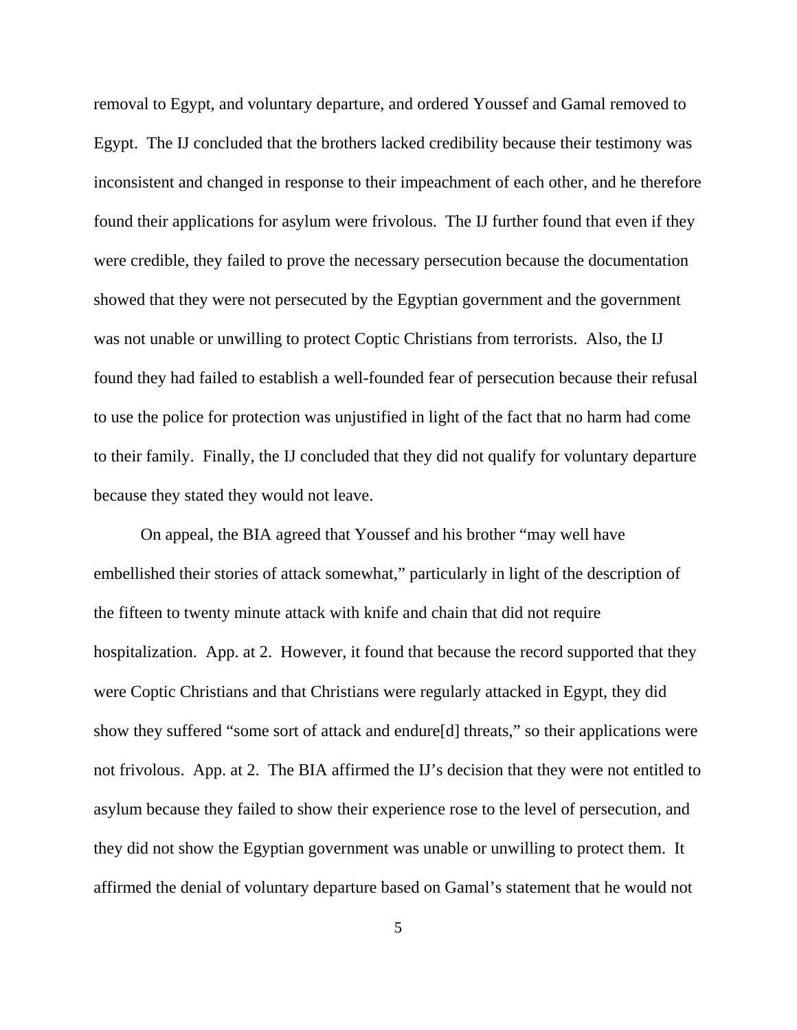removal to Egypt, and voluntary departure, and ordered Youssef and Gamal removed to Egypt. The IJ concluded that the brothers lacked credibility because their testimony was inconsistent and changed in response to their impeachment of each other, and he therefore found their applications for asylum were frivolous. The IJ further found that even if they were credible, they failed to prove the necessary persecution because the documentation showed that they were not persecuted by the Egyptian government and the government was not unable or unwilling to protect Coptic Christians from terrorists. Also, the IJ found they had failed to establish a well-founded fear of persecution because their refusal to use the police for protection was unjustified in light of the fact that no harm had come to their family. Finally, the IJ concluded that they did not qualify for voluntary departure because they stated they would not leave.

On appeal, the BIA agreed that Youssef and his brother "may well have embellished their stories of attack somewhat," particularly in light of the description of the fifteen to twenty minute attack with knife and chain that did not require hospitalization. App. at 2. However, it found that because the record supported that they were Coptic Christians and that Christians were regularly attacked in Egypt, they did show they suffered "some sort of attack and endure[d] threats," so their applications were not frivolous. App. at 2. The BIA affirmed the IJ's decision that they were not entitled to asylum because they failed to show their experience rose to the level of persecution, and they did not show the Egyptian government was unable or unwilling to protect them. It affirmed the denial of voluntary departure based on Gamal's statement that he would not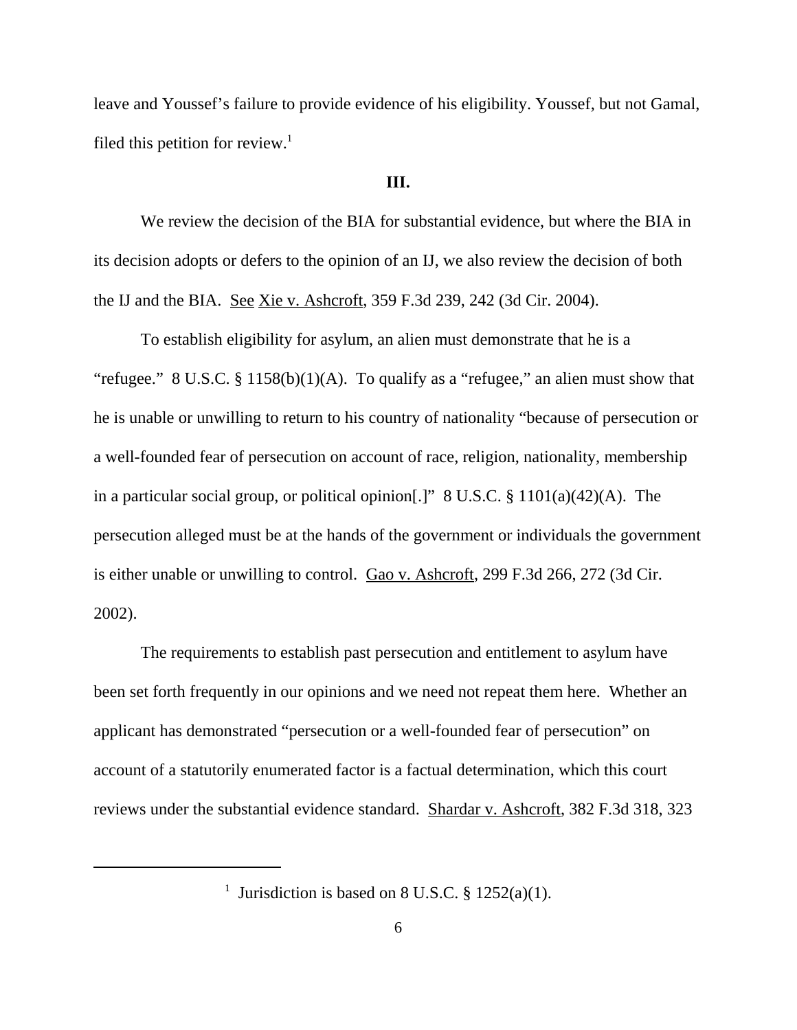leave and Youssef's failure to provide evidence of his eligibility. Youssef, but not Gamal, filed this petition for review.<sup>1</sup>

#### **III.**

We review the decision of the BIA for substantial evidence, but where the BIA in its decision adopts or defers to the opinion of an IJ, we also review the decision of both the IJ and the BIA. See Xie v. Ashcroft, 359 F.3d 239, 242 (3d Cir. 2004).

To establish eligibility for asylum, an alien must demonstrate that he is a "refugee." 8 U.S.C.  $\S 1158(b)(1)(A)$ . To qualify as a "refugee," an alien must show that he is unable or unwilling to return to his country of nationality "because of persecution or a well-founded fear of persecution on account of race, religion, nationality, membership in a particular social group, or political opinion.]" 8 U.S.C.  $\S 1101(a)(42)(A)$ . The persecution alleged must be at the hands of the government or individuals the government is either unable or unwilling to control. Gao v. Ashcroft, 299 F.3d 266, 272 (3d Cir. 2002).

The requirements to establish past persecution and entitlement to asylum have been set forth frequently in our opinions and we need not repeat them here. Whether an applicant has demonstrated "persecution or a well-founded fear of persecution" on account of a statutorily enumerated factor is a factual determination, which this court reviews under the substantial evidence standard. Shardar v. Ashcroft, 382 F.3d 318, 323

<sup>&</sup>lt;sup>1</sup> Jurisdiction is based on 8 U.S.C. § 1252(a)(1).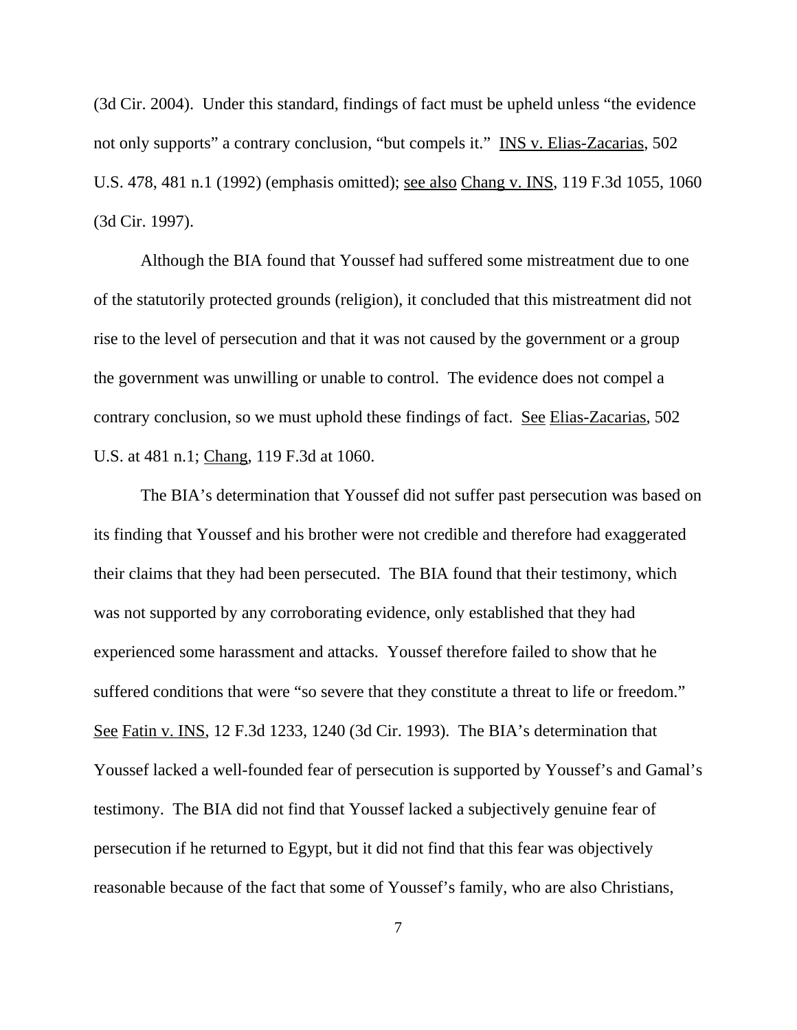(3d Cir. 2004). Under this standard, findings of fact must be upheld unless "the evidence not only supports" a contrary conclusion, "but compels it." INS v. Elias-Zacarias, 502 U.S. 478, 481 n.1 (1992) (emphasis omitted); see also Chang v. INS, 119 F.3d 1055, 1060 (3d Cir. 1997).

Although the BIA found that Youssef had suffered some mistreatment due to one of the statutorily protected grounds (religion), it concluded that this mistreatment did not rise to the level of persecution and that it was not caused by the government or a group the government was unwilling or unable to control. The evidence does not compel a contrary conclusion, so we must uphold these findings of fact. See Elias-Zacarias, 502 U.S. at 481 n.1; Chang, 119 F.3d at 1060.

The BIA's determination that Youssef did not suffer past persecution was based on its finding that Youssef and his brother were not credible and therefore had exaggerated their claims that they had been persecuted. The BIA found that their testimony, which was not supported by any corroborating evidence, only established that they had experienced some harassment and attacks. Youssef therefore failed to show that he suffered conditions that were "so severe that they constitute a threat to life or freedom." See Fatin v. INS, 12 F.3d 1233, 1240 (3d Cir. 1993). The BIA's determination that Youssef lacked a well-founded fear of persecution is supported by Youssef's and Gamal's testimony. The BIA did not find that Youssef lacked a subjectively genuine fear of persecution if he returned to Egypt, but it did not find that this fear was objectively reasonable because of the fact that some of Youssef's family, who are also Christians,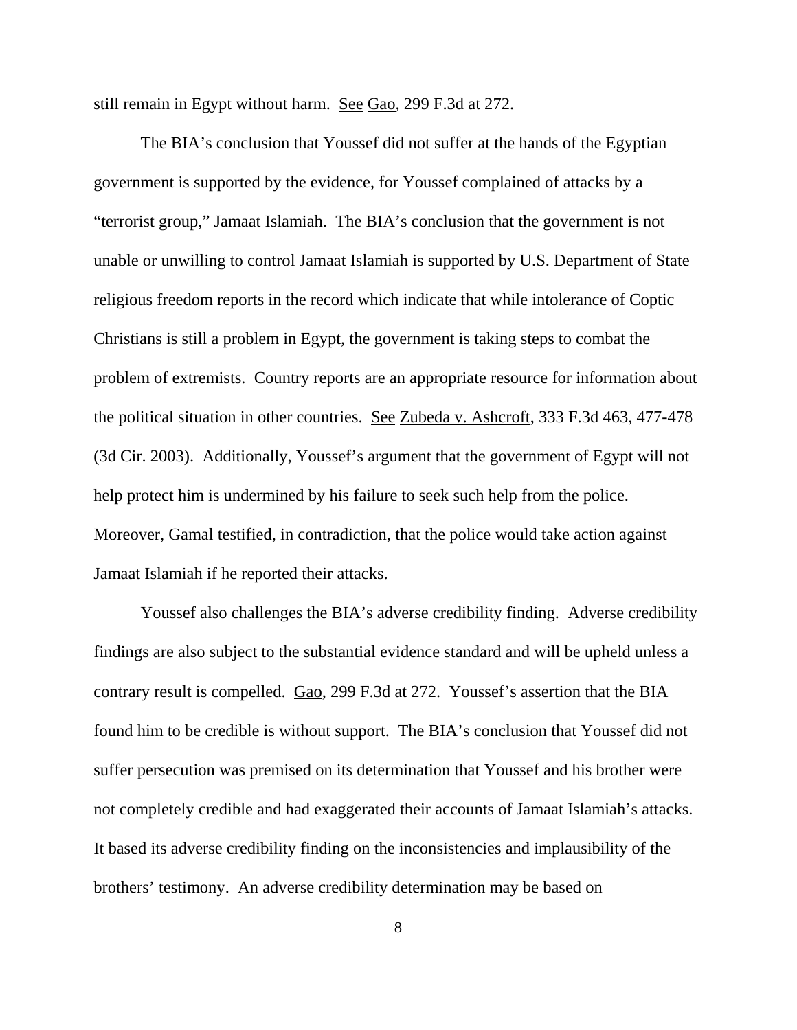still remain in Egypt without harm. See Gao, 299 F.3d at 272.

 The BIA's conclusion that Youssef did not suffer at the hands of the Egyptian government is supported by the evidence, for Youssef complained of attacks by a "terrorist group," Jamaat Islamiah. The BIA's conclusion that the government is not unable or unwilling to control Jamaat Islamiah is supported by U.S. Department of State religious freedom reports in the record which indicate that while intolerance of Coptic Christians is still a problem in Egypt, the government is taking steps to combat the problem of extremists. Country reports are an appropriate resource for information about the political situation in other countries. See Zubeda v. Ashcroft, 333 F.3d 463, 477-478 (3d Cir. 2003). Additionally, Youssef's argument that the government of Egypt will not help protect him is undermined by his failure to seek such help from the police. Moreover, Gamal testified, in contradiction, that the police would take action against Jamaat Islamiah if he reported their attacks.

Youssef also challenges the BIA's adverse credibility finding. Adverse credibility findings are also subject to the substantial evidence standard and will be upheld unless a contrary result is compelled. Gao, 299 F.3d at 272. Youssef's assertion that the BIA found him to be credible is without support. The BIA's conclusion that Youssef did not suffer persecution was premised on its determination that Youssef and his brother were not completely credible and had exaggerated their accounts of Jamaat Islamiah's attacks. It based its adverse credibility finding on the inconsistencies and implausibility of the brothers' testimony. An adverse credibility determination may be based on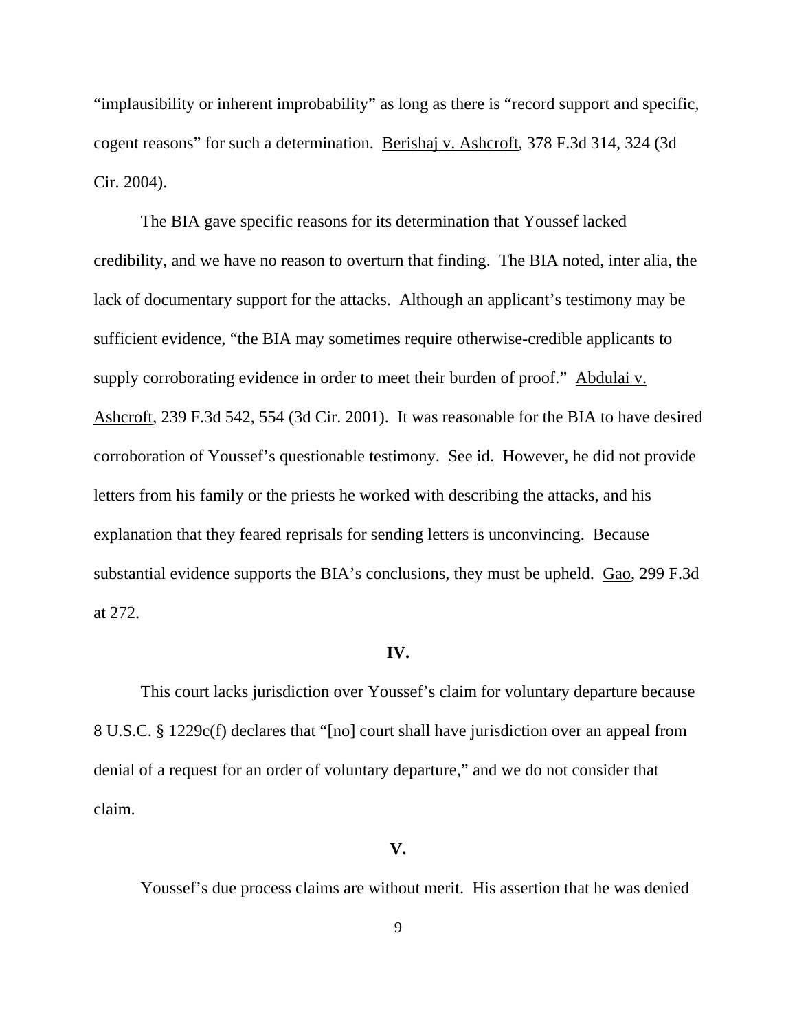"implausibility or inherent improbability" as long as there is "record support and specific, cogent reasons" for such a determination. Berishaj v. Ashcroft, 378 F.3d 314, 324 (3d Cir. 2004).

The BIA gave specific reasons for its determination that Youssef lacked credibility, and we have no reason to overturn that finding. The BIA noted, inter alia, the lack of documentary support for the attacks. Although an applicant's testimony may be sufficient evidence, "the BIA may sometimes require otherwise-credible applicants to supply corroborating evidence in order to meet their burden of proof." Abdulai v. Ashcroft, 239 F.3d 542, 554 (3d Cir. 2001). It was reasonable for the BIA to have desired corroboration of Youssef's questionable testimony. See id. However, he did not provide letters from his family or the priests he worked with describing the attacks, and his explanation that they feared reprisals for sending letters is unconvincing. Because substantial evidence supports the BIA's conclusions, they must be upheld. Gao, 299 F.3d at 272.

### **IV.**

This court lacks jurisdiction over Youssef's claim for voluntary departure because 8 U.S.C. § 1229c(f) declares that "[no] court shall have jurisdiction over an appeal from denial of a request for an order of voluntary departure," and we do not consider that claim.

#### **V.**

Youssef's due process claims are without merit. His assertion that he was denied